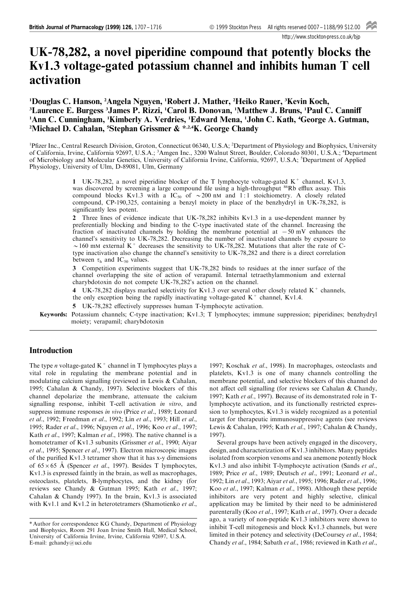http://www.stockton-press.co.uk/bjp

# UK-78,282, a novel piperidine compound that potently blocks the Kv1.3 voltage-gated potassium channel and inhibits human T cell activation

1 Douglas C. Hanson, <sup>2</sup> Angela Nguyen, <sup>1</sup> Robert J. Mather, <sup>2</sup> Heiko Rauer, <sup>3</sup> Kevin Koch, <sup>3</sup>Laurence E. Burgess <sup>3</sup>James P. Rizzi, <sup>1</sup>Carol B. Donovan, <sup>1</sup>Matthew J. Bruns, <sup>1</sup>Paul C. Canniff <sup>1</sup>Ann C. Cunningham, 'Kimberly A. Verdries, 'Edward Mena, 'John C. Kath, <del>'</del>George A. Gutman, <sup>2</sup>Michael D. Cahalan, <sup>5</sup>Stephan Grissmer & \*<sup>,2,4</sup>K. George Chandy

<sup>1</sup>Pfizer Inc., Central Research Division, Groton, Connecticut 06340, U.S.A; <sup>2</sup>Department of Physiology and Biophysics, University of California, Irvine, California 92697, U.S.A.; <sup>3</sup>Amgen Inc., 3200 Walnut Street, Boulder, Colorado 80301, U.S.A.; <sup>4</sup>Department of Microbiology and Molecular Genetics, University of California Irvine, California, 92697, U.S.A; <sup>5</sup>Department of Applied Physiology, University of Ulm, D-89081, Ulm, Germany

> 1 UK-78,282, a novel piperidine blocker of the T lymphocyte voltage-gated  $K^+$  channel, Kv1.3, was discovered by screening a large compound file using a high-throughput <sup>86</sup>Rb efflux assay. This compound blocks Kv1.3 with a IC<sub>50</sub> of  $\sim$  200 nM and 1:1 stoichiometry. A closely related compound, CP-190,325, containing a benzyl moiety in place of the benzhydryl in UK-78,282, is significantly less potent.

> 2 Three lines of evidence indicate that UK-78,282 inhibits Kv1.3 in a use-dependent manner by preferentially blocking and binding to the C-type inactivated state of the channel. Increasing the fraction of inactivated channels by holding the membrane potential at  $-50$  mV enhances the channel's sensitivity to UK-78,282. Decreasing the number of inactivated channels by exposure to  $\sim$ 160 mM external K<sup>+</sup> decreases the sensitivity to UK-78,282. Mutations that alter the rate of Ctype inactivation also change the channel's sensitivity to UK-78,282 and there is a direct correlation between  $\tau_h$  and IC<sub>50</sub> values.

> 3 Competition experiments suggest that UK-78,282 binds to residues at the inner surface of the channel overlapping the site of action of verapamil. Internal tetraethylammonium and external charybdotoxin do not compete UK-78,282's action on the channel.

> 4 UK-78,282 displays marked selectivity for Kv1.3 over several other closely related  $K^+$  channels,

the only exception being the rapidly inactivating voltage-gated  $K^+$  channel, Kv1.4.

5 UK-78,282 effectively suppresses human T-lymphocyte activation.

Keywords: Potassium channels; C-type inactivation; Kv1.3; T lymphocytes; immune suppression; piperidines; benzhydryl moiety; verapamil; charybdotoxin

# Introduction

The type *n* voltage-gated  $K^+$  channel in T lymphocytes plays a vital role in regulating the membrane potential and in modulating calcium signalling (reviewed in Lewis & Cahalan, 1995; Cahalan & Chandy, 1997). Selective blockers of this channel depolarize the membrane, attenuate the calcium signalling response, inhibit T-cell activation *in vitro*, and suppress immune responses in vivo (Price et al., 1989; Leonard et al., 1992; Freedman et al., 1992; Lin et al., 1993; Hill et al., 1995; Rader et al., 1996; Nguyen et al., 1996; Koo et al., 1997; Kath et al., 1997; Kalman et al., 1998). The native channel is a homotetramer of Kv1.3 subunits (Grissmer et al., 1990; Aiyar et al., 1995; Spencer et al., 1997). Electron microscopic images of the purified Kv1.3 tetramer show that it has x-y dimensions of  $65 \times 65$  Å (Spencer *et al.*, 1997). Besides T lymphocytes, Kv1.3 is expressed faintly in the brain, as well as macrophages, osteoclasts, platelets, B-lymphocytes, and the kidney (for reviews see Chandy & Gutman 1995; Kath et al., 1997; Cahalan & Chandy 1997). In the brain, Kv1.3 is associated with Kv1.1 and Kv1.2 in heterotetramers (Shamotienko et al.,

1997; Koschak et al., 1998). In macrophages, osteoclasts and platelets, Kv1.3 is one of many channels controlling the membrane potential, and selective blockers of this channel do not affect cell signalling (for reviews see Cahalan  $\&$  Chandy, 1997; Kath et al., 1997). Because of its demonstrated role in Tlymphocyte activation, and its functionally restricted expression to lymphocytes, Kv1.3 is widely recognized as a potential target for therapeutic immunosuppressive agents (see reviews Lewis & Cahalan, 1995; Kath et al., 1997; Cahalan & Chandy, 1997).

Several groups have been actively engaged in the discovery, design, and characterization of Kv1.3 inhibitors. Many peptides isolated from scorpion venoms and sea anemone potently block Kv1.3 and also inhibit T-lymphocyte activation (Sands et al., 1989; Price et al., 1989; Deutsch et al., 1991; Leonard et al., 1992; Lin et al., 1993; Aiyar et al., 1995; 1996; Rader et al., 1996; Koo et al., 1997; Kalman et al., 1998). Although these peptide inhibitors are very potent and highly selective, clinical application may be limited by their need to be administered parenterally (Koo et al., 1997; Kath et al., 1997). Over a decade ago, a variety of non-peptide Kv1.3 inhibitors were shown to inhibit T-cell mitogenesis and block Kv1.3 channels, but were limited in their potency and selectivity (DeCoursey et al., 1984; Chandy et al., 1984; Sabath et al., 1986; reviewed in Kath et al.,

<sup>\*</sup> Author for correspondence KG Chandy, Department of Physiology and Biophysics, Room 291 Joan Irvine Smith Hall, Medical School, University of California Irvine, Irvine, California 92697, U.S.A. E-mail: gchandy@uci.edu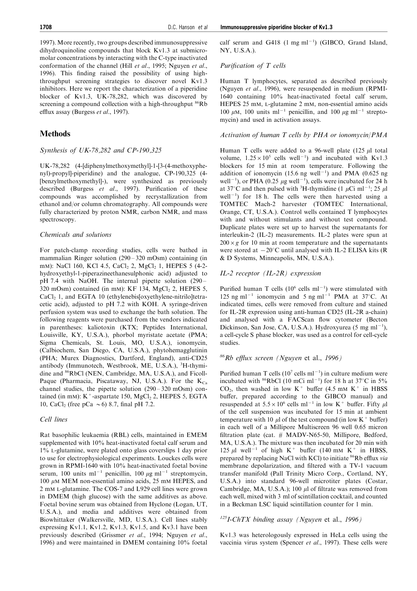1997). More recently, two groups described immunosuppressive dihydroquinoline compounds that block Kv1.3 at submicromolar concentrations by interacting with the C-type inactivated conformation of the channel (Hill et al., 1995; Nguyen et al., 1996). This finding raised the possibility of using highthroughput screening strategies to discover novel Kv1.3 inhibitors. Here we report the characterization of a piperidine blocker of Kv1.3, UK-78,282, which was discovered by screening a compound collection with a high-throughput <sup>86</sup>Rb efflux assay (Burgess et al., 1997).

# Methods

# Synthesis of UK-78,282 and CP-190,325

UK-78,282 (4-[diphenylmethoxymethyl]-1-[3-(4-methoxyphenyl)-propyl]-piperidine) and the analogue, CP-190,325 (4- [benzylmethoxymethyl]-), were synthesized as previously described (Burgess et al., 1997). Purification of these compounds was accomplished by recrystallization from ethanol and/or column chromatography. All compounds were fully characterized by proton NMR, carbon NMR, and mass spectroscopy.

# Chemicals and solutions

For patch-clamp recording studies, cells were bathed in mammalian Ringer solution  $(290 - 320 \text{ mOsm})$  containing (in mM): NaCl 160, KCl 4.5, CaCl<sub>2</sub> 2, MgCl<sub>2</sub> 1, HEPES 5 (4-2hydroxyethyl-1-piperazineethanesulphonic acid) adjusted to pH 7.4 with NaOH. The internal pipette solution  $(290 -$ 320 mOsm) contained (in mM):  $KF$  134,  $MgCl<sub>2</sub>$ , HEPES 5, CaCl<sub>2</sub> 1, and EGTA 10 (ethylenebis[oxyethylene-nitrilo]tetracetic acid), adjusted to pH 7.2 with KOH. A syringe-driven perfusion system was used to exchange the bath solution. The following reagents were purchased from the vendors indicated in parentheses: kaliotoxin (KTX; Peptides International, Louisville, KY, U.S.A.), phorbol myristate acetate (PMA; Sigma Chemicals, St. Louis, MO, U.S.A.), ionomycin, (Calbiochem, San Diego, CA, U.S.A.), phytohemagglutinin (PHA; Murex Diagnostics, Dartford, England), anti-CD25 antibody (Immunotech, Westbrook, ME, U.S.A.), <sup>3</sup>H-thymidine and <sup>86</sup>RbCl (NEN, Cambridge, MA, U.S.A.), and Ficoll-Paque (Pharmacia, Piscataway, NJ, U.S.A.). For the  $K_{Ca}$ channel studies, the pipette solution  $(290 - 320 \text{ mOsm})$  contained (in mM):  $K^+$ -aspartate 150, MgCl<sub>2</sub> 2, HEPES 5, EGTA 10, CaCl<sub>2</sub> (free pCa  $\sim$  6) 8.7, final pH 7.2.

# Cell lines

Rat basophilic leukaemia (RBL) cells, maintained in EMEM supplemented with 10% heat-inactivated foetal calf serum and 1% L-glutamine, were plated onto glass coverslips 1 day prior to use for electrophysiological experiments. Louckes cells were grown in RPMI-1640 with 10% heat-inactivated foetal bovine serum, 100 units ml<sup>-1</sup> penicillin, 100  $\mu$ g ml<sup>-1</sup> streptomycin, 100  $\mu$ M MEM non-essential amino acids, 25 mM HEPES, and 2 mM L-glutamine. The COS-7 and L929 cell lines were grown in DMEM (high glucose) with the same additives as above. Foetal bovine serum was obtained from Hyclone (Logan, UT, U.S.A.), and media and additives were obtained from Biowhittaker (Walkersville, MD, U.S.A.). Cell lines stably expressing Kv1.1, Kv1.2, Kv1.3, Kv1.5, and Kv3.1 have been previously described (Grissmer et al., 1994; Nguyen et al., 1996) and were maintained in DMEM containing 10% foetal

calf serum and G418  $(1 \text{ mg ml}^{-1})$  (GIBCO, Grand Island, NY, U.S.A.).

# Purification of T cells

Human T lymphocytes, separated as described previously (Nguyen et al., 1996), were resuspended in medium (RPMI-1640 containing 10% heat-inactivated foetal calf serum, HEPES 25 mM, L-glutamine 2 mM, non-essential amino acids 100  $\mu$ M, 100 units ml<sup>-1</sup> penicillin, and 100  $\mu$ g ml<sup>-1</sup> streptomycin) and used in activation assays.

## Activation of human T cells by PHA or ionomycin/PMA

Human T cells were added to a 96-well plate  $(125 \mu)$  total volume,  $1.25 \times 10^5$  cells well<sup>-1</sup>) and incubated with Kv1.3 blockers for 15 min at room temperature. Following the addition of ionomycin  $(15.6 \text{ ng well}^{-1})$  and PMA  $(0.625 \text{ ng}$ well<sup>-1</sup>), or PHA (0.25  $\mu$ g well<sup>-1</sup>), cells were incubated for 24 h at 37°C and then pulsed with <sup>3</sup>H-thymidine (1  $\mu$ Ci ml<sup>-1</sup>; 25  $\mu$ l well<sup>-1</sup>) for 18 h. The cells were then harvested using a TOMTEC Mach-2 harvester (TOMTEC International, Orange, CT, U.S.A.). Control wells contained T lymphocytes with and without stimulants and without test compound. Duplicate plates were set up to harvest the supernatants for interleukin-2 (IL-2) measurements. IL-2 plates were spun at  $200 \times g$  for 10 min at room temperature and the supernatants were stored at  $-20^{\circ}$ C until analysed with IL-2 ELISA kits (R) & D Systems, Minneapolis, MN, U.S.A.).

# IL-2 receptor (IL-2R) expression

Purified human T cells  $(10^6 \text{ cells } \text{ml}^{-1})$  were stimulated with 125 ng ml<sup>-1</sup> ionomycin and 5 ng ml<sup>-1</sup> PMA at 37°C. At indicated times, cells were removed from culture and stained for IL-2R expression using anti-human CD25 (IL-2R a-chain) and analysed with a FACScan flow cytometer (Becton Dickinson, San Jose, CA, U.S.A.). Hydroxyurea (5 mg ml<sup>-1</sup>), a cell-cycle S phase blocker, was used as a control for cell-cycle studies.

# $86$ Rb efflux screen (Nguyen et al., 1996)

Purified human T cells  $(10^7 \text{ cells m}1^{-1})$  in culture medium were incubated with <sup>86</sup>RbCl (10 mCi ml<sup>-1</sup>) for 18 h at 37°C in 5%  $CO<sub>2</sub>$ , then washed in low K<sup>+</sup> buffer (4.5 mM K<sup>+</sup> in HBSS buffer, prepared according to the GIBCO manual) and resuspended at  $5.5 \times 10^6$  cells ml<sup>-1</sup> in low K<sup>+</sup> buffer. Fifty  $\mu$ l of the cell suspension was incubated for 15 min at ambient temperature with 10  $\mu$  of the test compound (in low K<sup>+</sup> buffer) in each well of a Millipore Multiscreen 96 well 0.65 micron filtration plate (cat.  $#$  MADV-N65-50, Millipore, Bedford, MA, U.S.A.). The mixture was then incubated for 20 min with 125  $\mu$ l well<sup>-1</sup> of high K<sup>+</sup> buffer (140 mm K<sup>+</sup> in HBSS, prepared by replacing NaCl with KCl) to initiate <sup>86</sup>Rb efflux via membrane depolarization, and filtered with a TV-1 vacuum transfer manifold (Pall Trinity Micro Corp., Cortland, NY, U.S.A.) into standard 96-well microtiter plates (Costar, Cambridge, MA, U.S.A.); 100  $\mu$ l of filtrate was removed from each well, mixed with 3 ml of scintillation cocktail, and counted in a Beckman LSC liquid scintillation counter for 1 min.

# $^{125}$ I-ChTX binding assay (Nguyen et al., 1996)

Kv1.3 was heterologously expressed in HeLa cells using the vaccinia virus system (Spencer et al., 1997). These cells were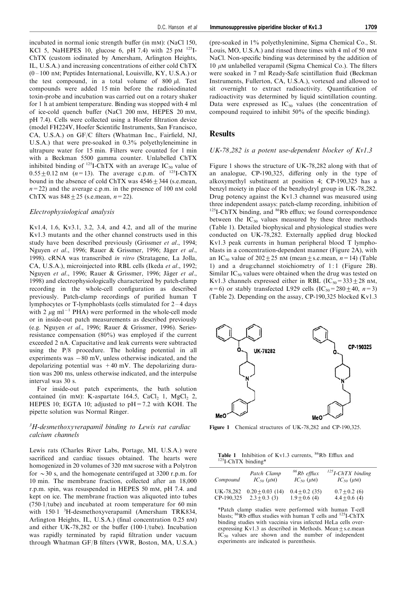incubated in normal ionic strength buffer (in mM): (NaCl 150, KCl 5, NaHEPES 10, glucose 6, pH 7.4) with 25 pM  $^{125}$ I-ChTX (custom iodinated by Amersham, Arlington Heights, IL, U.S.A.) and increasing concentrations of either cold ChTX  $(0 - 100 \text{ nm}$ ; Peptides International, Louisville, KY, U.S.A.) or the test compound, in a total volume of 800  $\mu$ l. Test compounds were added 15 min before the radioiodinated toxin-probe and incubation was carried out on a rotary shaker for 1 h at ambient temperature. Binding was stopped with 4 ml of ice-cold quench buffer (NaCl 200 mM, HEPES 20 mM, pH 7.4). Cells were collected using a Hoefer filtration device (model FH224V, Hoefer Scientific Instruments, San Francisco, CA, U.S.A.) on GF/C filters (Whatman Inc., Fairfield, NJ, U.S.A.) that were pre-soaked in 0.3% polyethyleneimine in ultrapure water for 15 min. Filters were counted for 1 min with a Beckman 5500 gamma counter. Unlabelled ChTX inhibited binding of <sup>125</sup>I-ChTX with an average  $IC_{50}$  value of  $0.55 \pm 0.12$  nM (n=13). The average c.p.m. of <sup>125</sup>I-ChTX bound in the absence of cold ChTX was  $4546 \pm 344$  (s.e.mean,  $n=22$ ) and the average c.p.m. in the presence of 100 nM cold ChTX was  $848 + 25$  (s.e.mean,  $n = 22$ ).

#### Electrophysiological analysis

Kv1.4, 1.6, Kv3.1, 3.2, 3.4, and 4.2, and all of the murine Kv1.3 mutants and the other channel constructs used in this study have been described previously (Grissmer et al., 1994; Nguyen et al., 1996; Rauer & Grissmer, 1996; Jäger et al., 1998). cRNA was transcribed in vitro (Stratagene, La Jolla, CA, U.S.A.), microinjected into RBL cells (Ikeda et al., 1992; Nguyen et al., 1996; Rauer & Grissmer, 1996; Jäger et al., 1998) and electrophysiologically characterized by patch-clamp recording in the whole-cell configuration as described previously. Patch-clamp recordings of purified human T lymphocytes or T-lymphoblasts (cells stimulated for  $2-4$  days with 2  $\mu$ g ml<sup>-1</sup> PHA) were performed in the whole-cell mode or in inside-out patch measurements as described previously (e.g. Nguyen et al., 1996; Rauer & Grissmer, 1996). Seriesresistance compensation (80%) was employed if the current exceeded 2 nA. Capacitative and leak currents were subtracted using the P/8 procedure. The holding potential in all experiments was  $-80$  mV, unless otherwise indicated, and the depolarizing potential was  $+40$  mV. The depolarizing duration was 200 ms, unless otherwise indicated, and the interpulse interval was 30 s.

For inside-out patch experiments, the bath solution contained (in mM): K-aspartate 164.5, CaCl<sub>2</sub> 1, MgCl<sub>2</sub> 2, HEPES 10; EGTA 10; adjusted to  $pH = 7.2$  with KOH. The pipette solution was Normal Ringer.

# $3H$ -desmethoxyverapamil binding to Lewis rat cardiac calcium channels

Lewis rats (Charles River Labs, Portage, MI, U.S.A.) were sacrificed and cardiac tissues obtained. The hearts were homogenized in 20 volumes of 320 mM sucrose with a Polytron for  $\sim$  30 s, and the homogenate centrifuged at 3200 r.p.m. for 10 min. The membrane fraction, collected after an 18,000 r.p.m. spin, was resuspended in HEPES 50 mM, pH 7.4. and kept on ice. The membrane fraction was aliquoted into tubes  $(750.1/tube)$  and incubated at room temperature for 60 min with 150·1 <sup>3</sup>H-desmethoxyverapamil (Amersham TRK834, Arlington Heights, IL, U.S.A.) (final concentration 0.25 nM) and either UK-78,282 or the buffer  $(100.1/\text{tube})$ . Incubation was rapidly terminated by rapid filtration under vacuum through Whatman GF/B filters (VWR, Boston, MA, U.S.A.)

(pre-soaked in 1% polyethylenimine, Sigma Chemical Co., St. Louis, MO, U.S.A.) and rinsed three times with 4 ml of 50 mM NaCl. Non-specific binding was determined by the addition of 10  $\mu$ M unlabelled verapamil (Sigma Chemical Co.). The filters were soaked in 7 ml Ready-Safe scintillation fluid (Beckman Instruments, Fullerton, CA, U.S.A.), vortexed and allowed to sit overnight to extract radioactivity. Quantification of radioactivity was determined by liquid scintillation counting. Data were expressed as  $IC_{50}$  values (the concentration of compound required to inhibit  $50\%$  of the specific binding).

## **Results**

#### UK-78,282 is a potent use-dependent blocker of Kv1.3

Figure 1 shows the structure of UK-78,282 along with that of an analogue, CP-190,325, differing only in the type of alkoxymethyl substituent at position 4; CP-190,325 has a benzyl moiety in place of the benzhydryl group in UK-78,282. Drug potency against the Kv1.3 channel was measured using three independent assays: patch-clamp recording, inhibition of  $125$ I-ChTX binding, and  $86$ Rb efflux; we found correspondence between the  $IC_{50}$  values measured by these three methods (Table 1). Detailed biophysical and physiological studies were conducted on UK-78,282. Externally applied drug blocked Kv1.3 peak currents in human peripheral blood T lymphoblasts in a concentration-dependent manner (Figure 2A), with an IC<sub>50</sub> value of  $202+25$  nM (mean + s.e.mean,  $n=14$ ) (Table 1) and a drug:channel stoichiometry of  $1:1$  (Figure 2B). Similar  $IC_{50}$  values were obtained when the drug was tested on Kv1.3 channels expressed either in RBL  $(IC_{50} = 333 + 28 \text{ nM})$ ,  $n=6$ ) or stably transfected L929 cells  $(IC_{50} = 280 \pm 40, n=3)$ (Table 2). Depending on the assay, CP-190,325 blocked Kv1.3



Figure 1 Chemical structures of UK-78,282 and CP-190,325.

**Table 1** Inhibition of Kv1.3 currents, <sup>86</sup>Rb Efflux and <sup>125</sup>I-ChTX binding\*

| Compound   | Patch Clamp          | $86$ Rb efflux       | $^{125}$ I-ChTX binding |
|------------|----------------------|----------------------|-------------------------|
|            | $IC_{50}$ ( $\mu$ M) | $IC_{50}$ ( $\mu$ M) | $IC_{50}$ ( $\mu$ M)    |
| UK-78.282  | $0.20 + 0.03$ (14)   | $0.4 + 0.2$ (35)     | $0.7 + 0.2(6)$          |
| CP-190.325 | $2.3 \pm 0.3$ (3)    | $1.9 \pm 0.6$ (4)    | $4.4 \pm 0.6$ (4)       |

\*Patch clamp studies were performed with human T-cell<br>blasts; <sup>86</sup>Rb efflux studies with human T cells and <sup>125</sup>I-ChTX binding studies with vaccinia virus infected HeLa cells overexpressing Kv1.3 as described in Methods. Mean $\pm$ s.e.mean  $IC_{50}$  values are shown and the number of independent experiments are indicated is parenthesis.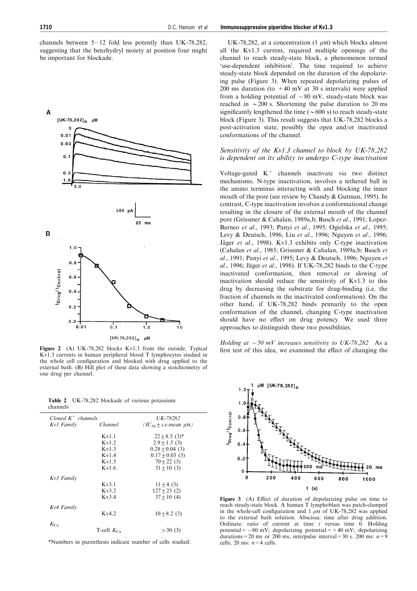channels between  $5-12$  fold less potently than UK-78,282, suggesting that the benzhydryl moiety at position four might be important for blockade.



Kv1.3 currents in human peripheral blood T lymphocytes studied in the whole cell configuration and blocked with drug applied to the external bath. (B) Hill plot of these data showing a stoichiometry of one drug per channel.

|          | <b>Table 2</b> UK-78,282 blockade of various potassium |  |  |
|----------|--------------------------------------------------------|--|--|
| channels |                                                        |  |  |

| Cloned $K^+$ channels |                 | UK-78282                        |
|-----------------------|-----------------|---------------------------------|
| Kv1 Family            | Channel         | $(IC_{50} \pm s.e. mean \mu M)$ |
|                       | Kv1.1           | $22 \pm 8.5$ (3)*               |
|                       |                 |                                 |
|                       | Kv1.2           | $2.9 + 1.3(3)$                  |
|                       | Kv1.3           | $0.28 + 0.04(3)$                |
|                       | Kv1.4           | $0.17 + 0.03(3)$                |
|                       | Kv1.5           | $70 + 22(3)$                    |
|                       | Kv16            | $31 \pm 10$ (3)                 |
| Kv3 Family            |                 |                                 |
|                       | Kv3.1           | $11 \pm 4$ (3)                  |
|                       | Kv3.2           | $127 \pm 23$ (2)                |
|                       | Kv3.4           | $37 + 10(4)$                    |
| Kv4 Family            |                 |                                 |
|                       | Kv4.2           | $10 \pm 8.2$ (3)                |
| $K_{Ca}$              |                 |                                 |
|                       | T-cell $K_{Ca}$ | >30(3)                          |
|                       |                 |                                 |

\*Numbers in parenthesis indicate number of cells studied.

UK-78,282, at a concentration (1  $\mu$ M) which blocks almost all the Kv1.3 current, required multiple openings of the channel to reach steady-state block, a phenomenon termed 'use-dependent inhibition'. The time required to achieve steady-state block depended on the duration of the depolarizing pulse (Figure 3). When repeated depolarizing pulses of 200 ms duration (to  $+40$  mV at 30 s intervals) were applied from a holding potential of  $-80$  mV, steady-state block was reached in  $\sim$  200 s. Shortening the pulse duration to 20 ms significantly lengthened the time ( $\sim 600 \text{ s}$ ) to reach steady-state block (Figure 3). This result suggests that UK-78,282 blocks a post-activation state, possibly the open and/or inactivated conformations of the channel.

# Sensitivity of the Kv1.3 channel to block by UK-78,282 is dependent on its ability to undergo C-type inactivation

Voltage-gated  $K^+$  channels inactivate via two distinct mechanisms. N-type inactivation, involves a tethered ball in the amino terminus interacting with and blocking the inner mouth of the pore (see review by Chandy & Gutman, 1995). In contrast, C-type inactivation involves a conformational change resulting in the closure of the external mouth of the channel pore (Grissmer & Cahalan, 1989a,b; Busch et al., 1991; Lopez-Barneo et al., 1993; Panyi et al., 1995; Ogielska et al., 1995; Levy & Deutsch, 1996; Liu et al., 1996; Nguyen et al., 1996; Jäger et al., 1998). Kv1.3 exhibits only C-type inactivation (Cahalan et al., 1985; Grissmer & Cahalan, 1989a,b; Busch et al., 1991; Panyi et al., 1995; Levy & Deutsch, 1996; Nguyen et al., 1996; Jäger et al., 1998). If UK-78,282 binds to the C-type inactivated conformation, then removal or slowing of inactivation should reduce the sensitivity of Kv1.3 to this drug by decreasing the substrate for drug-binding (i.e. the fraction of channels in the inactivated conformation). On the other hand, if UK-78,282 binds primarily to the open conformation of the channel, changing C-type inactivation should have no effect on drug potency. We used three approaches to distinguish these two possibilities.

Holding at  $-50$  mV increases sensitivity to UK-78,282 As a Figure 2 (A) UK-78,282 blocks Kv1.3 from the outside. Typical first test of this idea, we examined the effect of changing the



Figure  $3$  (A) Effect of duration of depolarizing pulse on time to reach steady-state block. A human T lymphoblast was patch-clamped in the whole-cell configuration and  $1 \mu M$  of UK-78,282 was applied to the external bath solution. Abscissa: time after drug addition. Ordinate: ratio of current at time  $t$  versus time 0. Holding potential= $-80$  mV; depolarizing potential= $+40$  mV; depolarizing durations = 20 ms or 200 ms, interpulse interval = 30 s. 200 ms:  $n=9$ cells; 20 ms:  $n=4$  cells.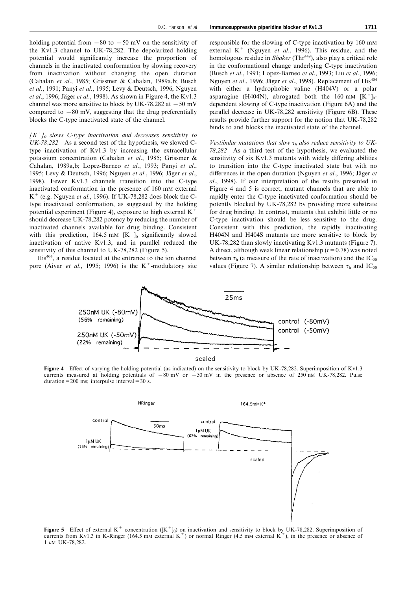holding potential from  $-80$  to  $-50$  mV on the sensitivity of the Kv1.3 channel to UK-78,282. The depolarized holding potential would significantly increase the proportion of channels in the inactivated conformation by slowing recovery from inactivation without changing the open duration (Cahalan et al., 1985; Grissmer & Cahalan, 1989a,b; Busch et al., 1991; Panyi et al., 1995; Levy & Deutsch, 1996; Nguyen et al., 1996; Jäger et al., 1998). As shown in Figure 4, the Kv1.3 channel was more sensitive to block by UK-78,282 at  $-50$  mV compared to  $-80$  mV, suggesting that the drug preferentially blocks the C-type inactivated state of the channel.

 $[K^+]_0$  slows C-type inactivation and decreases sensitivity to UK-78,282 As a second test of the hypothesis, we slowed Ctype inactivation of Kv1.3 by increasing the extracellular potassium concentration (Cahalan et al., 1985; Grissmer & Cahalan, 1989a,b; Lopez-Barneo et al., 1993; Panyi et al., 1995; Levy & Deutsch, 1996; Nguyen et al., 1996; Jäger et al., 1998). Fewer Kv1.3 channels transition into the C-type inactivated conformation in the presence of 160 mM external  $K^+$  (e.g. Nguyen *et al.*, 1996). If UK-78,282 does block the Ctype inactivated conformation, as suggested by the holding potential experiment (Figure 4), exposure to high external  $K^+$ should decrease UK-78,282 potency by reducing the number of inactivated channels available for drug binding. Consistent with this prediction, 164.5 mM  $[K^+]_0$  significantly slowed inactivation of native Kv1.3, and in parallel reduced the sensitivity of this channel to UK-78,282 (Figure 5).

His<sup>404</sup>, a residue located at the entrance to the ion channel pore (Aiyar *et al.*, 1995; 1996) is the  $K^+$ -modulatory site

responsible for the slowing of C-type inactivation by 160 mM external  $K^+$  (Nguyen *et al.*, 1996). This residue, and the homologous residue in *Shaker* (Thr<sup>449</sup>), also play a critical role in the conformational change underlying C-type inactivation (Busch et al., 1991; Lopez-Barneo et al., 1993; Liu et al., 1996; Nguyen et al., 1996; Jäger et al., 1998). Replacement of His<sup>404</sup> with either a hydrophobic valine (H404V) or a polar asparagine (H404N), abrogated both the 160 mm  $[K^+]_0$ dependent slowing of C-type inactivation (Figure 6A) and the parallel decrease in UK-78,282 sensitivity (Figure 6B). These results provide further support for the notion that UK-78,282 binds to and blocks the inactivated state of the channel.

Vestibular mutations that slow  $\tau_h$  also reduce sensitivity to UK-78,282 As a third test of the hypothesis, we evaluated the sensitivity of six  $Kv1.3$  mutants with widely differing abilities to transition into the C-type inactivated state but with no differences in the open duration (Nguyen et al., 1996; Jäger et al., 1998). If our interpretation of the results presented in Figure 4 and 5 is correct, mutant channels that are able to rapidly enter the C-type inactivated conformation should be potently blocked by UK-78,282 by providing more substrate for drug binding. In contrast, mutants that exhibit little or no C-type inactivation should be less sensitive to the drug. Consistent with this prediction, the rapidly inactivating H404N and H404S mutants are more sensitive to block by UK-78,282 than slowly inactivating Kv1.3 mutants (Figure 7). A direct, although weak linear relationship  $(r=0.78)$  was noted between  $\tau_{\rm b}$  (a measure of the rate of inactivation) and the IC<sub>50</sub> values (Figure 7). A similar relationship between  $\tau_{\rm h}$  and IC<sub>50</sub>



Figure 4 Effect of varying the holding potential (as indicated) on the sensitivity to block by UK-78,282. Superimposition of Kv1.3 currents measured at holding potentials of  $-80$  mV or  $-50$  mV in the presence or absence of 250 nm UK-78,282. Pulse duration=200 ms; interpulse interval=30 s.



**Figure 5** Effect of external K<sup>+</sup> concentration ( $[K^+]_0$ ) on inactivation and sensitivity to block by UK-78,282. Superimposition of currents from Kv1.3 in K-Ringer (164.5 mM external K<sup>+</sup>) or normal Ringer (4.5 mM external K<sup>+</sup>), in the presence or absence of  $1 \mu M$  UK-78,282.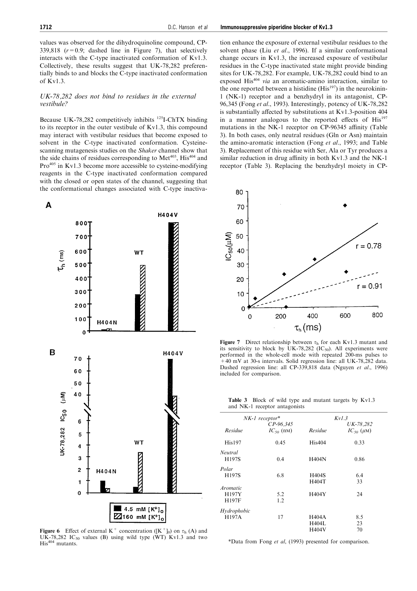values was observed for the dihydroquinoline compound, CP-339,818 ( $r=0.9$ ; dashed line in Figure 7), that selectively interacts with the C-type inactivated conformation of Kv1.3. Collectively, these results suggest that UK-78,282 preferentially binds to and blocks the C-type inactivated conformation of Kv1.3.

# UK-78,282 does not bind to residues in the external vestibule?

Because UK-78,282 competitively inhibits  $^{125}$ I-ChTX binding to its receptor in the outer vestibule of Kv1.3, this compound may interact with vestibular residues that become exposed to solvent in the C-type inactivated conformation. Cysteinescanning mutagenesis studies on the Shaker channel show that the side chains of residues corresponding to  $Met^{403}$ ,  $His^{404}$  and  $Pro^{405}$  in Kv1.3 become more accessible to cysteine-modifying reagents in the C-type inactivated conformation compared with the closed or open states of the channel, suggesting that the conformational changes associated with C-type inactiva-



**Figure 6** Effect of external K<sup>+</sup> concentration ( $[K^+]_0$ ) on  $\tau_h$  (A) and UK-78,282 IC<sub>50</sub> values (B) using wild type (WT) Kv1.3 and two His<sup>404</sup> mutants.

tion enhance the exposure of external vestibular residues to the solvent phase (Liu et al., 1996). If a similar conformational change occurs in Kv1.3, the increased exposure of vestibular residues in the C-type inactivated state might provide binding sites for UK-78,282. For example, UK-78,282 could bind to an exposed His<sup>404</sup> via an aromatic-amino interaction, similar to the one reported between a histidine  $(His<sup>197</sup>)$  in the neurokinin-1 (NK-1) receptor and a benzhydryl in its antagonist, CP-96,345 (Fong et al., 1993). Interestingly, potency of UK-78,282 is substantially affected by substitutions at  $Kv1.3$ -position 404 in a manner analogous to the reported effects of  $His^{197}$ mutations in the NK-1 receptor on CP-96345 affinity (Table 3). In both cases, only neutral residues (Gln or Asn) maintain the amino-aromatic interaction (Fong et al., 1993; and Table 3). Replacement of this residue with Ser, Ala or Tyr produces a



similar reduction in drug affinity in both  $Kv1.3$  and the NK-1 receptor (Table 3). Replacing the benzhydryl moiety in CP-

Figure 7 Direct relationship between  $\tau_h$  for each Kv1.3 mutant and its sensitivity to block by UK-78,282 ( $IC_{50}$ ). All experiments were performed in the whole-cell mode with repeated 200-ms pulses to +40 mV at 30-s intervals. Solid regression line: all UK-78,282 data. Dashed regression line: all CP-339,818 data (Nguyen et al., 1996) included for comparison.

|                               |  | <b>Table 3</b> Block of wild type and mutant targets by Kv1.3 |  |  |
|-------------------------------|--|---------------------------------------------------------------|--|--|
| and NK-1 receptor antagonists |  |                                                               |  |  |

|                 | $NK-1$ receptor* | Kv1.3        |                      |  |
|-----------------|------------------|--------------|----------------------|--|
|                 | $CP-96,345$      |              | UK-78,282            |  |
| Residue         | $IC_{50}$ (nM)   | Residue      | $IC_{50}$ ( $\mu$ M) |  |
| His197          | 0.45             | His404       | 0.33                 |  |
| Neutral         |                  |              |                      |  |
| H197S           | 0.4              | H404N        | 0.86                 |  |
| Polar           |                  |              |                      |  |
| H197S           | 6.8              | <b>H404S</b> | 6.4                  |  |
|                 |                  | H404T        | 33                   |  |
| <i>Aromatic</i> |                  |              |                      |  |
| H197Y           | 5.2              | H404Y        | 24                   |  |
| H197F           | 1.2              |              |                      |  |
| Hydrophobic     |                  |              |                      |  |
| <b>H197A</b>    | 17               | <b>H404A</b> | 8.5                  |  |
|                 |                  | <b>H404L</b> | 23                   |  |
|                 |                  | <b>H404V</b> | 70                   |  |

\*Data from Fong et al, (1993) presented for comparison.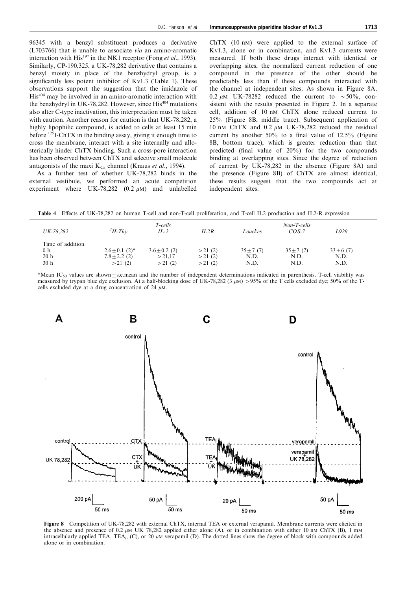96345 with a benzyl substituent produces a derivative (L703766) that is unable to associate via an amino-aromatic interaction with  $His^{197}$  in the NK1 receptor (Fong et al., 1993). Similarly, CP-190,325, a UK-78,282 derivative that contains a benzyl moiety in place of the benzhydryl group, is a significantly less potent inhibitor of Kv1.3 (Table 1). These observations support the suggestion that the imidazole of His<sup>404</sup> may be involved in an amino-aromatic interaction with the benzhydryl in UK-78,282. However, since His<sup>404</sup> mutations also alter C-type inactivation, this interpretation must be taken with caution. Another reason for caution is that UK-78,282, a highly lipophilic compound, is added to cells at least 15 min before 125I-ChTX in the binding assay, giving it enough time to cross the membrane, interact with a site internally and allosterically hinder ChTX binding. Such a cross-pore interaction has been observed between ChTX and selective small molecule antagonists of the maxi  $K_{Ca}$  channel (Knaus *et al.*, 1994).

As a further test of whether UK-78,282 binds in the external vestibule, we performed an acute competition experiment where UK-78,282  $(0.2 \mu M)$  and unlabelled

ChTX (10 nM) were applied to the external surface of Kv1.3, alone or in combination, and Kv1.3 currents were measured. If both these drugs interact with identical or overlapping sites, the normalized current reduction of one compound in the presence of the other should be predictably less than if these compounds interacted with the channel at independent sites. As shown in Figure 8A, 0.2  $\mu$ M UK-78282 reduced the current to  $\sim$  50%, consistent with the results presented in Figure 2. In a separate cell, addition of 10 nM ChTX alone reduced current to 25% (Figure 8B, middle trace). Subsequent application of 10 nM ChTX and 0.2  $\mu$ M UK-78,282 reduced the residual current by another  $50\%$  to a final value of  $12.5\%$  (Figure 8B, bottom trace), which is greater reduction than that predicted (final value of  $20\%$ ) for the two compounds binding at overlapping sites. Since the degree of reduction of current by UK-78,282 in the absence (Figure 8A) and the presence (Figure 8B) of ChTX are almost identical, these results suggest that the two compounds act at independent sites.

Table 4 Effects of UK-78,282 on human T-cell and non-T-cell proliferation, and T-cell IL2 production and IL2-R expression

| UK-78.282                                                    | $H$ -Thv                                                      | T-cells<br>$IL-2$                     | IL2R                       | Louckes                       | Non-T-cells<br>$COS-7$        | L929                        |
|--------------------------------------------------------------|---------------------------------------------------------------|---------------------------------------|----------------------------|-------------------------------|-------------------------------|-----------------------------|
| Time of addition<br>0 <sub>h</sub><br>20h<br>30 <sub>h</sub> | $2.6 \pm 0.1$ (2) <sup>*</sup><br>$7.8 \pm 2.2$ (2)<br>>21(2) | $3.6 \pm 0.2$ (2)<br>>21.17<br>>21(2) | >21(2)<br>>21(2)<br>>21(2) | $35 \pm 7(7)$<br>N.D.<br>N.D. | $35 \pm 7(7)$<br>N.D.<br>N.D. | $33 + 6(7)$<br>N.D.<br>N.D. |

\*Mean IC<sub>50</sub> values are shown $\pm$ s.e.mean and the number of independent determinations indicated in parenthesis. T-cell viability was measured by trypan blue dye exclusion. At a half-blocking dose of UK-78,282 (3  $\mu$ M) > 95% of the T cells excluded dye; 50% of the Tcells excluded dye at a drug concentration of 24  $\mu$ M.



Figure 8 Competition of UK-78,282 with external ChTX, internal TEA or external verapamil. Membrane currents were elicited in the absence and presence of 0.2  $\mu$ M UK 78.282 applied either alone (A), or in combination with either 10 nm ChTX (B), 1 mm intracellularly applied TEA, TEA<sub>i</sub>, (C), or 20  $\mu$ M verapamil (D). The dotted lines show the degree of block with compounds added alone or in combination.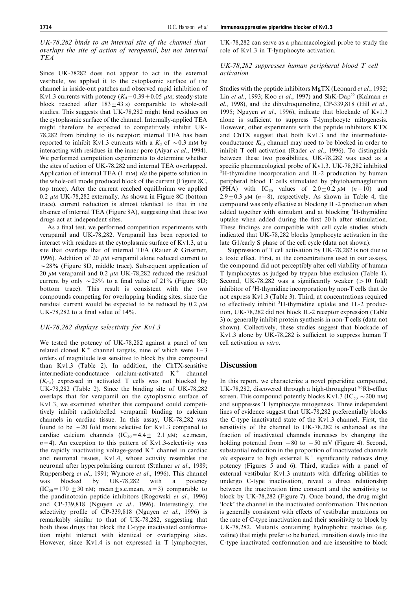UK-78,282 binds to an internal site of the channel that overlaps the site of action of verapamil, but not internal TEA

Since UK-78282 does not appear to act in the external vestibule, we applied it to the cytoplasmic surface of the channel in inside-out patches and observed rapid inhibition of Kv1.3 currents with potency  $(K_d=0.39\pm0.05 \mu M)$ ; steady-state block reached after  $183 \pm 43$  s) comparable to whole-cell studies. This suggests that UK-78,282 might bind residues on the cytoplasmic surface of the channel. Internally-applied TEA might therefore be expected to competitively inhibit UK-78,282 from binding to its receptor; internal TEA has been reported to inhibit Kv1.3 currents with a  $K_d$  of  $\sim 0.3$  mM by interacting with residues in the inner pore (Aiyar et al., 1994). We performed competition experiments to determine whether the sites of action of UK-78,282 and internal TEA overlapped. Application of internal TEA (1 mM) via the pipette solution in the whole-cell mode produced block of the current (Figure 8C, top trace). After the current reached equilibrium we applied 0.2  $\mu$ M UK-78,282 externally. As shown in Figure 8C (bottom trace), current reduction is almost identical to that in the absence of internal TEA (Figure 8A), suggesting that these two drugs act at independent sites.

As a final test, we performed competition experiments with verapamil and UK-78,282. Verapamil has been reported to interact with residues at the cytoplasmic surface of Kv1.3, at a site that overlaps that of internal TEA (Rauer & Grissmer, 1996). Addition of 20  $\mu$ M verapamil alone reduced current to  $\sim$ 28% (Figure 8D, middle trace). Subsequent application of 20  $\mu$ M verapamil and 0.2  $\mu$ M UK-78,282 reduced the residual current by only  $\sim$  25% to a final value of 21% (Figure 8D; bottom trace). This result is consistent with the two compounds competing for overlapping binding sites, since the residual current would be expected to be reduced by  $0.2 \mu M$ UK-78,282 to a final value of  $14\%$ .

#### UK-78,282 displays selectivity for Kv1.3

We tested the potency of UK-78,282 against a panel of ten related cloned  $K^+$  channel targets, nine of which were  $1-3$ orders of magnitude less sensitive to block by this compound than Kv1.3 (Table 2). In addition, the ChTX-sensitive intermediate-conductance calcium-activated  $K^+$  channel  $(K<sub>Ca</sub>)$  expressed in activated T cells was not blocked by UK-78,282 (Table 2). Since the binding site of UK-78,282 overlaps that for verapamil on the cytoplasmic surface of Kv1.3, we examined whether this compound could competitively inhibit radiolabelled verapamil binding to calcium channels in cardiac tissue. In this assay, UK-78,282 was found to be  $\sim$  20 fold more selective for Kv1.3 compared to cardiac calcium channels  $(IC_{50} = 4.4 + 2.1 \mu M; \text{ s.e. mean},$  $n=4$ ). An exception to this pattern of Kv1.3-selectivity was the rapidly inactivating voltage-gated  $K^+$  channel in cardiac and neuronal tissues, Kv1.4, whose activity resembles the neuronal after hyperpolarizing current (Stühmer et al., 1989; Ruppersberg et al., 1991; Wymore et al., 1996). This channel was blocked by UK-78,282 with a potency  $(IC_{50} = 170 \pm 30 \text{ nM}; \text{ mean} \pm \text{s.e.} \text{mean}, n=3)$  comparable to the pandinotoxin peptide inhibitors (Rogowski et al., 1996) and CP-339,818 (Nguyen et al., 1996). Interestingly, the selectivity profile of CP-339,818 (Nguyen et al., 1996) is remarkably similar to that of UK-78,282, suggesting that both these drugs that block the C-type inactivated conformation might interact with identical or overlapping sites. However, since Kv1.4 is not expressed in T lymphocytes,

UK-78,282 can serve as a pharmacological probe to study the role of Kv1.3 in T-lymphocyte activation.

# UK-78,282 suppresses human peripheral blood T cell activation

Studies with the peptide inhibitors MgTX (Leonard et al., 1992; Lin et al., 1993; Koo et al., 1997) and ShK-Dap<sup>22</sup> (Kalman et  $al., 1998$ ), and the dihydroquinoline, CP-339,818 (Hill et al., 1995; Nguyen et al., 1996), indicate that blockade of Kv1.3 alone is sufficient to suppress T-lymphocyte mitogenesis. However, other experiments with the peptide inhibitors KTX and ChTX suggest that both Kv1.3 and the intermediateconductance  $K_{\text{Ca}}$  channel may need to be blocked in order to inhibit T cell activation (Rader et al., 1996). To distinguish between these two possibilities, UK-78,282 was used as a specific pharmacological probe of Kv1.3. UK-78,282 inhibited 3 H-thymidine incorporation and IL-2 production by human peripheral blood T cells stimulated by phytohaemagglutinin (PHA) with IC<sub>50</sub> values of  $2.0 \pm 0.2 \mu M$  (n=10) and  $2.9 \pm 0.3$   $\mu$ M (n=8), respectively. As shown in Table 4, the compound was only effective at blocking IL-2 production when added together with stimulant and at blocking <sup>3</sup>H-thymidine uptake when added during the first 20 h after stimulation. These findings are compatible with cell cycle studies which indicated that UK-78,282 blocks lymphocyte activation in the late G1/early S phase of the cell cycle (data not shown).

Suppression of T cell activation by UK-78,282 is not due to a toxic effect. First, at the concentrations used in our assays, the compound did not perceptibly alter cell viability of human T lymphocytes as judged by trypan blue exclusion (Table 4). Second, UK-78,282 was a significantly weaker  $(>10 \text{ fold})$ inhibitor of <sup>3</sup>H-thymidine incorporation by non-T cells that do not express Kv1.3 (Table 3). Third, at concentrations required to effectively inhibit  ${}^{3}$ H-thymidine uptake and IL-2 production, UK-78,282 did not block IL-2 receptor expression (Table 3) or generally inhibit protein synthesis in non-T cells (data not shown). Collectively, these studies suggest that blockade of Kv1.3 alone by UK-78,282 is sufficient to suppress human  $T$ cell activation in vitro.

# **Discussion**

In this report, we characterize a novel piperidine compound, UK-78,282, discovered through a high-throughput <sup>86</sup>Rb-efflux screen. This compound potently blocks Kv1.3 (IC<sub>50</sub>  $\sim$  200 nM) and suppresses T lymphocyte mitogenesis. Three independent lines of evidence suggest that UK-78,282 preferentially blocks the C-type inactivated state of the Kv1.3 channel. First, the sensitivity of the channel to UK-78,282 is enhanced as the fraction of inactivated channels increases by changing the holding potential from  $-80$  to  $-50$  mV (Figure 4). Second, substantial reduction in the proportion of inactivated channels *via* exposure to high external  $K^+$  significantly reduces drug potency (Figures 5 and 6). Third, studies with a panel of external vestibular Kv1.3 mutants with differing abilities to undergo C-type inactivation, reveal a direct relationship between the inactivation time constant and the sensitivity to block by UK-78,282 (Figure 7). Once bound, the drug might `lock' the channel in the inactivated conformation. This notion is generally consistent with effects of vestibular mutations on the rate of C-type inactivation and their sensitivity to block by UK-78,282. Mutants containing hydrophobic residues (e.g. valine) that might prefer to be buried, transition slowly into the C-type inactivated conformation and are insensitive to block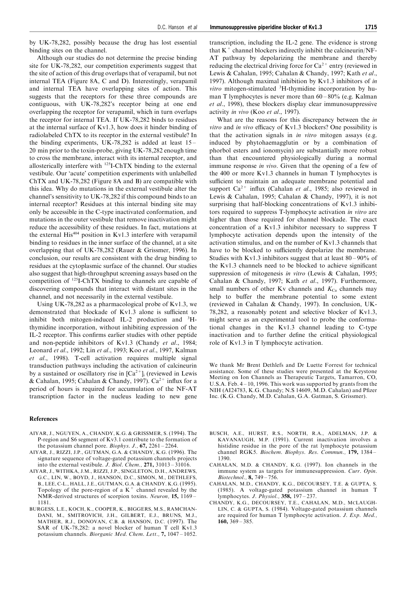by UK-78,282, possibly because the drug has lost essential binding sites on the channel.

Although our studies do not determine the precise binding site for UK-78,282, our competition experiments suggest that the site of action of this drug overlaps that of verapamil, but not internal TEA (Figure 8A, C and D). Interestingly, verapamil and internal TEA have overlapping sites of action. This suggests that the receptors for these three compounds are contiguous, with UK-78,282's receptor being at one end overlapping the receptor for verapamil, which in turn overlaps the receptor for internal TEA. If UK-78,282 binds to residues at the internal surface of Kv1.3, how does it hinder binding of radiolabeled ChTX to its receptor in the external vestibule? In the binding experiments, UK-78,282 is added at least  $15-$ 20 min prior to the toxin-probe, giving UK-78,282 enough time to cross the membrane, interact with its internal receptor, and allosterically interfere with 125I-ChTX binding to the external vestibule. Our `acute' competition experiments with unlabelled ChTX and UK-78,282 (Figure 8A and B) are compatible with this idea. Why do mutations in the external vestibule alter the channel's sensitivity to UK-78,282 if this compound binds to an internal receptor? Residues at this internal binding site may only be accessible in the C-type inactivated conformation, and mutations in the outer vestibule that remove inactivation might reduce the accessibility of these residues. In fact, mutations at the external His<sup>404</sup> position in Kv1.3 interfere with verapamil binding to residues in the inner surface of the channel, at a site overlapping that of UK-78,282 (Rauer & Grissmer, 1996). In conclusion, our results are consistent with the drug binding to residues at the cytoplasmic surface of the channel. Our studies also suggest that high-throughput screening assays based on the competition of 125I-ChTX binding to channels are capable of discovering compounds that interact with distant sites in the channel, and not necessarily in the external vestibule.

Using UK-78,282 as a pharmacological probe of Kv1.3, we demonstrated that blockade of Kv1.3 alone is sufficient to inhibit both mitogen-induced IL-2 production and  ${}^{3}$ Hthymidine incorporation, without inhibiting expression of the IL-2 receptor. This confirms earlier studies with other peptide and non-peptide inhibitors of Kv1.3 (Chandy et al., 1984; Leonard et al., 1992; Lin et al., 1993; Koo et al., 1997, Kalman et al., 1998). T-cell activation requires multiple signal transduction pathways including the activation of calcineurin by a sustained or oscillatory rise in  $[Ca^{2+}]_i$  (reviewed in Lewis & Cahalan, 1995; Cahalan & Chandy, 1997).  $Ca^{2+}$  influx for a period of hours is required for accumulation of the NF-AT transcription factor in the nucleus leading to new gene

#### References

- AIYAR, J., NGUYEN, A., CHANDY, K.G. & GRISSMER, S. (1994). The P-region and S6 segment of Kv3.1 contribute to the formation of the potassium channel pore. *Biophys. J.*,  $67$ ,  $2261 - 2264$ .
- AIYAR, J., RIZZI, J.P., GUTMAN, G.A. & CHANDY, K.G. (1996). The signature sequence of voltage-gated potassium channels projects into the external vestibule. J. Biol. Chem.,  $271$ ,  $31013 - 31016$ .
- AIYAR, J., WITHKA, J.M., RIZZI, J.P., SINGLETON, D.H., ANDREWS, G.C., LIN, W., BOYD, J., HANSON, D.C., SIMON, M., DETHLEFS, B., LEE, C-L., HALL, J.E., GUTMAN, G.A. & CHANDY. K.G. (1995). Topology of the pore-region of a  $K^+$  channel revealed by the NMR-derived structures of scorpion toxins. Neuron, 15, 1169 = 1181.
- BURGESS, L.E., KOCH, K., COOPER, K., BIGGERS, M.S., RAMCHAN-DANI, M., SMITROVICH, J.H., GILBERT, E.J., BRUNS, M.J., MATHER, R.J., DONOVAN, C.B. & HANSON, D.C. (1997). The SAR of UK-78,282: a novel blocker of human T cell Kv1.3 potassium channels. Biorganic Med. Chem. Lett.,  $7, 1047 - 1052$ .

transcription, including the IL-2 gene. The evidence is strong that  $K^+$  channel blockers indirectly inhibit the calcineurin/NF-AT pathway by depolarizing the membrane and thereby reducing the electrical driving force for  $Ca^{2+}$  entry (reviewed in Lewis & Cahalan, 1995; Cahalan & Chandy, 1997; Kath et al., 1997). Although maximal inhibition by Kv1.3 inhibitors of in vitro mitogen-stimulated <sup>3</sup>H-thymidine incorporation by human T lymphocytes is never more than  $60 - 80\%$  (e.g. Kalman et al., 1998), these blockers display clear immunosuppressive activity in vivo (Koo et al., 1997).

What are the reasons for this discrepancy between the *in vitro* and *in vivo* efficacy of Kv1.3 blockers? One possibility is that the activation signals in in vitro mitogen assays (e.g. induced by phytohaemagglutin or by a combination of phorbol esters and ionomycin) are substantially more robust than that encountered physiologically during a normal immune response in vivo. Given that the opening of a few of the 400 or more Kv1.3 channels in human T lymphocytes is sufficient to maintain an adequate membrane potential and support  $Ca^{2+}$  influx (Cahalan *et al.*, 1985; also reviewed in Lewis & Cahalan, 1995; Cahalan & Chandy, 1997), it is not surprising that half-blocking concentrations of Kv1.3 inhibitors required to suppress T-lymphocyte activation in vitro are higher than those required for channel blockade. The exact concentration of a Kv1.3 inhibitor necessary to suppress T lymphocyte activation depends upon the intensity of the activation stimulus, and on the number of Kv1.3 channels that have to be blocked to sufficiently depolarize the membrane. Studies with Kv1.3 inhibitors suggest that at least  $80 - 90\%$  of the Kv1.3 channels need to be blocked to achieve significant suppression of mitogenesis in vitro (Lewis & Cahalan, 1995; Cahalan & Chandy, 1997; Kath et al., 1997). Furthermore, small numbers of other Kv channels and  $K_{Ca}$  channels may help to buffer the membrane potential to some extent (reviewed in Cahalan & Chandy, 1997). In conclusion, UK-78,282, a reasonably potent and selective blocker of Kv1.3, might serve as an experimental tool to probe the conformational changes in the Kv1.3 channel leading to C-type inactivation and to further define the critical physiological role of Kv1.3 in T lymphocyte activation.

We thank Mr Brent Dethlefs and Dr Luette Forrest for technical assistance. Some of these studies were presented at the Keystone Meeting on Ion Channels as Therapeutic Targets, Tamarron, CO, U.S.A. Feb.  $4 - 10$ , 1996. This work was supported by grants from the NIH (AI24783, K.G. Chandy; N.S 14609, M.D. Cahalan) and Pfizer Inc. (K.G. Chandy, M.D. Cahalan, G.A. Gatman, S. Grissmer).

- BUSCH, A.E., HURST, R.S., NORTH, R.A., ADELMAN, J.P. & KAVANAUGH, M.P. (1991). Current inactivation involves a histidine residue in the pore of the rat lymphocyte potassium channel RGK5. Biochem. Biophys. Res. Commun., 179, 1384 -1390.
- CAHALAN, M.D. & CHANDY, K.G. (1997). Ion channels in the immune system as targets for immunesuppression. Curr. Opin.  $Biotechnol., 8, 749 - 756.$
- CAHALAN, M.D., CHANDY, K.G., DECOURSEY, T.E. & GUPTA, S. (1985). A voltage-gated potassium channel in human T lymphocytes. J. Physiol.,  $358$ ,  $197 - 237$ .
- CHANDY, K.G., DECOURSEY, T.E., CAHALAN, M.D., MCLAUGH-LIN, C. & GUPTA, S. (1984). Voltage-gated potassium channels are required for human T lymphocyte activation. J. Exp. Med.,  $160, 369 - 385.$